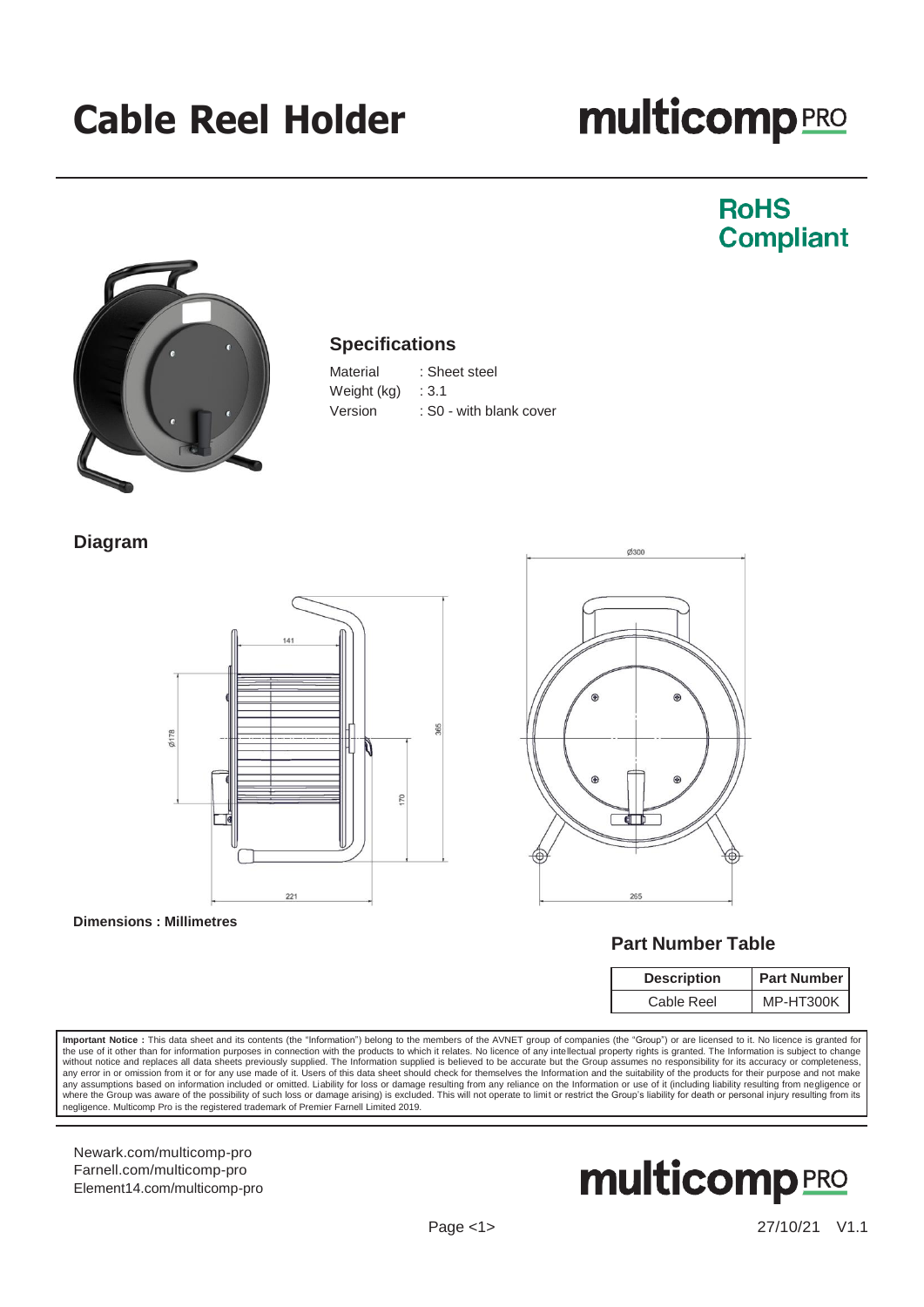## **Cable Reel Holder**

# **multicomp**<sub>PRO</sub>

### **RoHS Compliant**



#### **Specifications**

| Material    | : Sheet steel           |
|-------------|-------------------------|
| Weight (kg) | : 3.1                   |
| Version     | : S0 - with blank cover |

**Diagram**



#### **Dimensions : Millimetres**



#### **Part Number Table**

| <b>Description</b> | <b>Part Number</b> |  |
|--------------------|--------------------|--|
| Cable Reel         | MP-HT300K          |  |

Important Notice : This data sheet and its contents (the "Information") belong to the members of the AVNET group of companies (the "Group") or are licensed to it. No licence is granted for the use of it other than for information purposes in connection with the products to which it relates. No licence of any intellectual property rights is granted. The Information is subject to change<br>without notice and repl any assumptions based on information included or omitted. Liability for loss or damage resulting from any reliance on the Information or use of it (including liability resulting from negligence or<br>where the Group was aware negligence. Multicomp Pro is the registered trademark of Premier Farnell Limited 2019.

[Newark.com/multicomp-](https://www.newark.com/multicomp-pro)pro [Farnell.com/multicomp-](https://www.farnell.com/multicomp-pro)pro [Element14.com/multicomp-pro](https://element14.com/multicomp-pro)